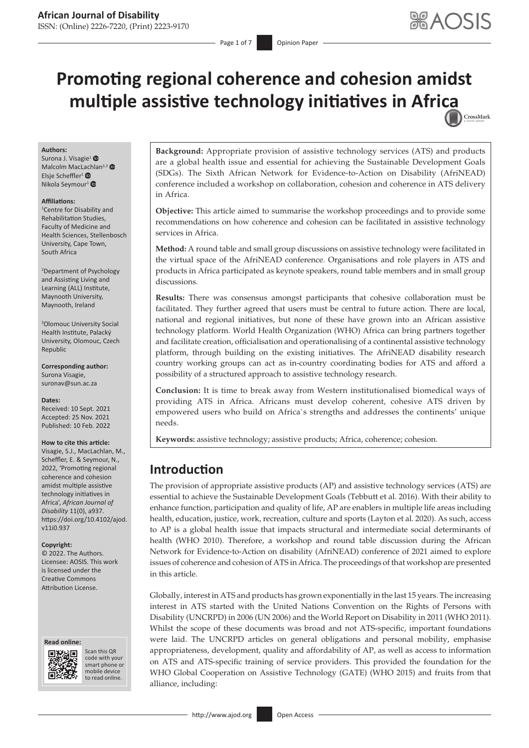Page 1 of 7 Opinion Paper

CrossMark

# **Promoting regional coherence and cohesion amidst multiple assistive technology initiatives in Afri[ca](http://crossmark.crossref.org/dialog/?doi=10.4102/ajod.v11i0.937=pdf&date_stamp=2021-02-10)**

#### **Authors:**

Surona J. Visagie<sup>1</sup> <sup>O</sup> Malcolm MacLachlan<sup>2,[3](http://orcid.org/0000-0001-6672-9206)</sup> Elsie Scheffler<sup>[1](http://orcid.org/0000-0002-7975-0466)</sup> $\bullet$ Nikola Seymour<sup>[1](http://orcid.org/0000-0002-8635-4664)</sup> ®

#### **Affiliations:**

<sup>1</sup> Centre for Disability and Rehabilitation Studies, Faculty of Medicine and Health Sciences, Stellenbosch University, Cape Town, South Africa

2 Department of Psychology and Assisting Living and Learning (ALL) Institute, Maynooth University, Maynooth, Ireland

3 Olomouc University Social Health Institute, Palacký University, Olomouc, Czech Republic

**Corresponding author:** Surona Visagie, [suronav@sun.ac.za](mailto:suronav@sun.ac.za)

**Dates:** Received: 10 Sept. 2021 Accepted: 25 Nov. 2021 Published: 10 Feb. 2022

#### **How to cite this article:**

Visagie, S.J., MacLachlan, M., Scheffler, E. & Seymour, N., 2022, 'Promoting regional coherence and cohesion amidst multiple assistive technology initiatives in Africa', *African Journal of Disability* 11(0), a937. [https://doi.org/10.4102/ajod.](https://doi.org/10.4102/ajod.v11i0.937) [v11i0.937](https://doi.org/10.4102/ajod.v11i0.937)

#### **Copyright:**

© 2022. The Authors. Licensee: AOSIS. This work is licensed under the Creative Commons Attribution License.





Scan this QR code with your Scan this QR<br>code with your<br>smart phone or<br>mobile device mobile device to read online. to read online.

**Background:** Appropriate provision of assistive technology services (ATS) and products are a global health issue and essential for achieving the Sustainable Development Goals (SDGs). The Sixth African Network for Evidence-to-Action on Disability (AfriNEAD) conference included a workshop on collaboration, cohesion and coherence in ATS delivery in Africa.

**Objective:** This article aimed to summarise the workshop proceedings and to provide some recommendations on how coherence and cohesion can be facilitated in assistive technology services in Africa.

**Method:** A round table and small group discussions on assistive technology were facilitated in the virtual space of the AfriNEAD conference. Organisations and role players in ATS and products in Africa participated as keynote speakers, round table members and in small group discussions.

**Results:** There was consensus amongst participants that cohesive collaboration must be facilitated. They further agreed that users must be central to future action. There are local, national and regional initiatives, but none of these have grown into an African assistive technology platform. World Health Organization (WHO) Africa can bring partners together and facilitate creation, officialisation and operationalising of a continental assistive technology platform, through building on the existing initiatives. The AfriNEAD disability research country working groups can act as in-country coordinating bodies for ATS and afford a possibility of a structured approach to assistive technology research.

**Conclusion:** It is time to break away from Western institutionalised biomedical ways of providing ATS in Africa. Africans must develop coherent, cohesive ATS driven by empowered users who build on Africa`s strengths and addresses the continents' unique needs.

**Keywords:** assistive technology; assistive products; Africa, coherence; cohesion.

# **Introduction**

The provision of appropriate assistive products (AP) and assistive technology services (ATS) are essential to achieve the Sustainable Development Goals (Tebbutt et al. 2016). With their ability to enhance function, participation and quality of life, AP are enablers in multiple life areas including health, education, justice, work, recreation, culture and sports (Layton et al. 2020). As such, access to AP is a global health issue that impacts structural and intermediate social determinants of health (WHO 2010). Therefore, a workshop and round table discussion during the African Network for Evidence-to-Action on disability (AfriNEAD) conference of 2021 aimed to explore issues of coherence and cohesion of ATS in Africa. The proceedings of that workshop are presented in this article.

Globally, interest in ATS and products has grown exponentially in the last 15 years. The increasing interest in ATS started with the United Nations Convention on the Rights of Persons with Disability (UNCRPD) in 2006 (UN 2006) and the World Report on Disability in 2011 (WHO 2011). Whilst the scope of these documents was broad and not ATS-specific, important foundations were laid. The UNCRPD articles on general obligations and personal mobility, emphasise appropriateness, development, quality and affordability of AP, as well as access to information on ATS and ATS-specific training of service providers. This provided the foundation for the WHO Global Cooperation on Assistive Technology (GATE) (WHO 2015) and fruits from that alliance, including: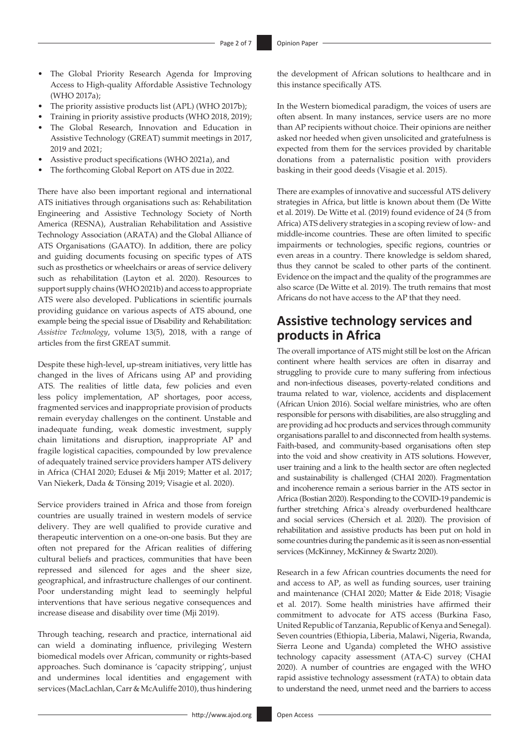- The Global Priority Research Agenda for Improving Access to High-quality Affordable Assistive Technology (WHO 2017a);
- The priority assistive products list (APL) (WHO 2017b);
- Training in priority assistive products (WHO 2018, 2019);
- The Global Research, Innovation and Education in Assistive Technology (GREAT) summit meetings in 2017, 2019 and 2021;
- Assistive product specifications (WHO 2021a), and
- The forthcoming Global Report on ATS due in 2022.

There have also been important regional and international ATS initiatives through organisations such as: Rehabilitation Engineering and Assistive Technology Society of North America (RESNA), Australian Rehabilitation and Assistive Technology Association (ARATA) and the Global Alliance of ATS Organisations (GAATO). In addition, there are policy and guiding documents focusing on specific types of ATS such as prosthetics or wheelchairs or areas of service delivery such as rehabilitation (Layton et al. 2020). Resources to support supply chains (WHO 2021b) and access to appropriate ATS were also developed. Publications in scientific journals providing guidance on various aspects of ATS abound, one example being the special issue of Disability and Rehabilitation: *Assistive Technology*, volume 13(5), 2018, with a range of articles from the first GREAT summit.

Despite these high-level, up-stream initiatives, very little has changed in the lives of Africans using AP and providing ATS. The realities of little data, few policies and even less policy implementation, AP shortages, poor access, fragmented services and inappropriate provision of products remain everyday challenges on the continent. Unstable and inadequate funding, weak domestic investment, supply chain limitations and disruption, inappropriate AP and fragile logistical capacities, compounded by low prevalence of adequately trained service providers hamper ATS delivery in Africa (CHAI 2020; Edusei & Mji 2019; Matter et al. 2017; Van Niekerk, Dada & Tönsing 2019; Visagie et al. 2020).

Service providers trained in Africa and those from foreign countries are usually trained in western models of service delivery. They are well qualified to provide curative and therapeutic intervention on a one-on-one basis. But they are often not prepared for the African realities of differing cultural beliefs and practices, communities that have been repressed and silenced for ages and the sheer size, geographical, and infrastructure challenges of our continent. Poor understanding might lead to seemingly helpful interventions that have serious negative consequences and increase disease and disability over time (Mji 2019).

Through teaching, research and practice, international aid can wield a dominating influence, privileging Western biomedical models over African, community or rights-based approaches. Such dominance is 'capacity stripping', unjust and undermines local identities and engagement with services (MacLachlan, Carr & McAuliffe 2010), thus hindering

the development of African solutions to healthcare and in this instance specifically ATS.

In the Western biomedical paradigm, the voices of users are often absent. In many instances, service users are no more than AP recipients without choice. Their opinions are neither asked nor heeded when given unsolicited and gratefulness is expected from them for the services provided by charitable donations from a paternalistic position with providers basking in their good deeds (Visagie et al. 2015).

There are examples of innovative and successful ATS delivery strategies in Africa, but little is known about them (De Witte et al. 2019). De Witte et al. (2019) found evidence of 24 (5 from Africa) ATS delivery strategies in a scoping review of low- and middle-income countries. These are often limited to specific impairments or technologies, specific regions, countries or even areas in a country. There knowledge is seldom shared, thus they cannot be scaled to other parts of the continent. Evidence on the impact and the quality of the programmes are also scarce (De Witte et al. 2019). The truth remains that most Africans do not have access to the AP that they need.

# **Assistive technology services and products in Africa**

The overall importance of ATS might still be lost on the African continent where health services are often in disarray and struggling to provide cure to many suffering from infectious and non-infectious diseases, poverty-related conditions and trauma related to war, violence, accidents and displacement (African Union 2016). Social welfare ministries, who are often responsible for persons with disabilities, are also struggling and are providing ad hoc products and services through community organisations parallel to and disconnected from health systems. Faith-based, and community-based organisations often step into the void and show creativity in ATS solutions. However, user training and a link to the health sector are often neglected and sustainability is challenged (CHAI 2020). Fragmentation and incoherence remain a serious barrier in the ATS sector in Africa (Bostian 2020). Responding to the COVID-19 pandemic is further stretching Africa`s already overburdened healthcare and social services (Chersich et al. 2020). The provision of rehabilitation and assistive products has been put on hold in some countries during the pandemic as it is seen as non-essential services (McKinney, McKinney & Swartz 2020).

Research in a few African countries documents the need for and access to AP, as well as funding sources, user training and maintenance (CHAI 2020; Matter & Eide 2018; Visagie et al. 2017). Some health ministries have affirmed their commitment to advocate for ATS access (Burkina Faso, United Republic of Tanzania, Republic of Kenya and Senegal). Seven countries (Ethiopia, Liberia, Malawi, Nigeria, Rwanda, Sierra Leone and Uganda) completed the WHO assistive technology capacity assessment (ATA-C) survey (CHAI 2020). A number of countries are engaged with the WHO rapid assistive technology assessment (rATA) to obtain data to understand the need, unmet need and the barriers to access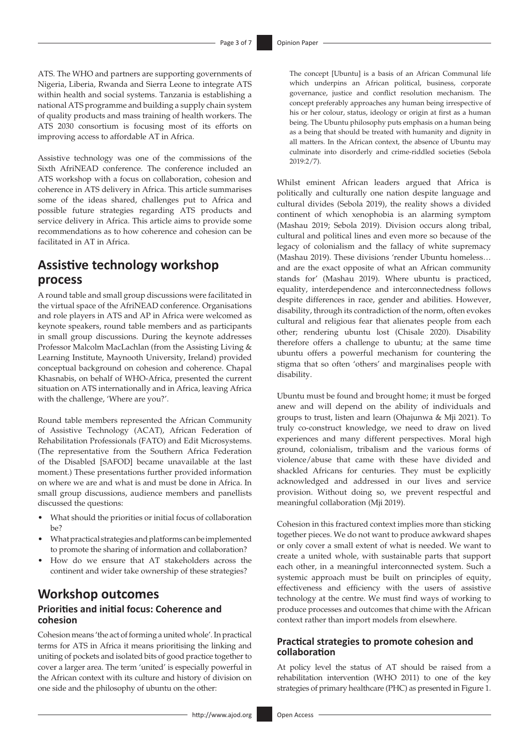ATS. The WHO and partners are supporting governments of Nigeria, Liberia, Rwanda and Sierra Leone to integrate ATS within health and social systems. Tanzania is establishing a national ATS programme and building a supply chain system of quality products and mass training of health workers. The ATS 2030 consortium is focusing most of its efforts on improving access to affordable AT in Africa.

Assistive technology was one of the commissions of the Sixth AfriNEAD conference. The conference included an ATS workshop with a focus on collaboration, cohesion and coherence in ATS delivery in Africa. This article summarises some of the ideas shared, challenges put to Africa and possible future strategies regarding ATS products and service delivery in Africa. This article aims to provide some recommendations as to how coherence and cohesion can be facilitated in AT in Africa.

# **Assistive technology workshop process**

A round table and small group discussions were facilitated in the virtual space of the AfriNEAD conference. Organisations and role players in ATS and AP in Africa were welcomed as keynote speakers, round table members and as participants in small group discussions. During the keynote addresses Professor Malcolm MacLachlan (from the Assisting Living & Learning Institute, Maynooth University, Ireland) provided conceptual background on cohesion and coherence. Chapal Khasnabis, on behalf of WHO-Africa, presented the current situation on ATS internationally and in Africa, leaving Africa with the challenge, 'Where are you?'.

Round table members represented the African Community of Assistive Technology (ACAT), African Federation of Rehabilitation Professionals (FATO) and Edit Microsystems. (The representative from the Southern Africa Federation of the Disabled [SAFOD] became unavailable at the last moment.) These presentations further provided information on where we are and what is and must be done in Africa. In small group discussions, audience members and panellists discussed the questions:

- What should the priorities or initial focus of collaboration be?
- What practical strategies and platforms can be implemented to promote the sharing of information and collaboration?
- How do we ensure that AT stakeholders across the continent and wider take ownership of these strategies?

# **Workshop outcomes Priorities and initial focus: Coherence and cohesion**

Cohesion means 'the act of forming a united whole'. In practical terms for ATS in Africa it means prioritising the linking and uniting of pockets and isolated bits of good practice together to cover a larger area. The term 'united' is especially powerful in the African context with its culture and history of division on one side and the philosophy of ubuntu on the other:

The concept [Ubuntu] is a basis of an African Communal life which underpins an African political, business, corporate governance, justice and conflict resolution mechanism. The concept preferably approaches any human being irrespective of his or her colour, status, ideology or origin at first as a human being. The Ubuntu philosophy puts emphasis on a human being as a being that should be treated with humanity and dignity in all matters. In the African context, the absence of Ubuntu may culminate into disorderly and crime-riddled societies (Sebola 2019:2/7).

Whilst eminent African leaders argued that Africa is politically and culturally one nation despite language and cultural divides (Sebola 2019), the reality shows a divided continent of which xenophobia is an alarming symptom (Mashau 2019; Sebola 2019). Division occurs along tribal, cultural and political lines and even more so because of the legacy of colonialism and the fallacy of white supremacy (Mashau 2019). These divisions 'render Ubuntu homeless… and are the exact opposite of what an African community stands for' (Mashau 2019). Where ubuntu is practiced, equality, interdependence and interconnectedness follows despite differences in race, gender and abilities. However, disability, through its contradiction of the norm, often evokes cultural and religious fear that alienates people from each other; rendering ubuntu lost (Chisale 2020). Disability therefore offers a challenge to ubuntu; at the same time ubuntu offers a powerful mechanism for countering the stigma that so often 'others' and marginalises people with disability.

Ubuntu must be found and brought home; it must be forged anew and will depend on the ability of individuals and groups to trust, listen and learn (Ohajunwa & Mji 2021). To truly co-construct knowledge, we need to draw on lived experiences and many different perspectives. Moral high ground, colonialism, tribalism and the various forms of violence/abuse that came with these have divided and shackled Africans for centuries. They must be explicitly acknowledged and addressed in our lives and service provision. Without doing so, we prevent respectful and meaningful collaboration (Mji 2019).

Cohesion in this fractured context implies more than sticking together pieces. We do not want to produce awkward shapes or only cover a small extent of what is needed. We want to create a united whole, with sustainable parts that support each other, in a meaningful interconnected system. Such a systemic approach must be built on principles of equity, effectiveness and efficiency with the users of assistive technology at the centre. We must find ways of working to produce processes and outcomes that chime with the African context rather than import models from elsewhere.

## **Practical strategies to promote cohesion and collaboration**

At policy level the status of AT should be raised from a rehabilitation intervention (WHO 2011) to one of the key strategies of primary healthcare (PHC) as presented in Figure 1.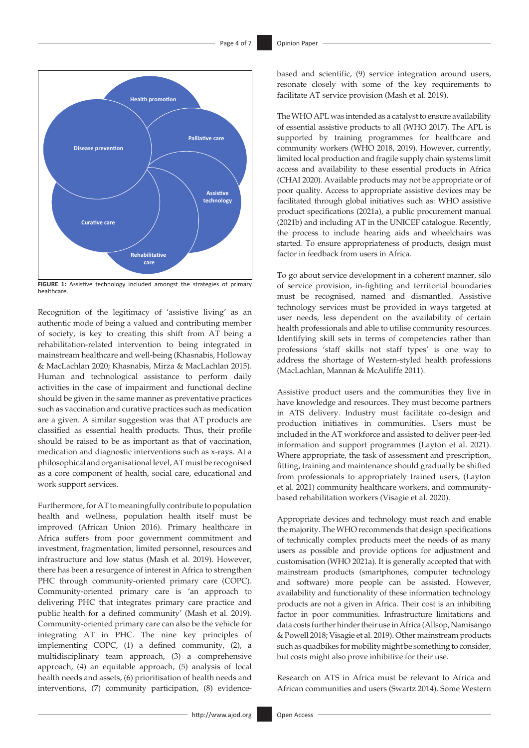

**FIGURE 1:** Assistive technology included amongst the strategies of primary healthcare.

Recognition of the legitimacy of 'assistive living' as an authentic mode of being a valued and contributing member of society, is key to creating this shift from AT being a rehabilitation-related intervention to being integrated in mainstream healthcare and well-being (Khasnabis, Holloway & MacLachlan 2020; Khasnabis, Mirza & MacLachlan 2015). Human and technological assistance to perform daily activities in the case of impairment and functional decline should be given in the same manner as preventative practices such as vaccination and curative practices such as medication are a given. A similar suggestion was that AT products are classified as essential health products. Thus, their profile should be raised to be as important as that of vaccination, medication and diagnostic interventions such as x-rays. At a philosophical and organisational level, AT must be recognised as a core component of health, social care, educational and work support services.

Furthermore, for AT to meaningfully contribute to population health and wellness, population health itself must be improved (African Union 2016). Primary healthcare in Africa suffers from poor government commitment and investment, fragmentation, limited personnel, resources and infrastructure and low status (Mash et al. 2019). However, there has been a resurgence of interest in Africa to strengthen PHC through community-oriented primary care (COPC). Community-oriented primary care is 'an approach to delivering PHC that integrates primary care practice and public health for a defined community' (Mash et al. 2019). Community-oriented primary care can also be the vehicle for integrating AT in PHC. The nine key principles of implementing COPC, (1) a defined community, (2), a multidisciplinary team approach, (3) a comprehensive approach, (4) an equitable approach, (5) analysis of local health needs and assets, (6) prioritisation of health needs and interventions, (7) community participation, (8) evidencebased and scientific, (9) service integration around users, resonate closely with some of the key requirements to facilitate AT service provision (Mash et al. 2019).

The WHO APL was intended as a catalyst to ensure availability of essential assistive products to all (WHO 2017). The APL is supported by training programmes for healthcare and community workers (WHO 2018, 2019). However, currently, limited local production and fragile supply chain systems limit access and availability to these essential products in Africa (CHAI 2020). Available products may not be appropriate or of poor quality. Access to appropriate assistive devices may be facilitated through global initiatives such as: WHO assistive product specifications (2021a), a public procurement manual (2021b) and including AT in the UNICEF catalogue. Recently, the process to include hearing aids and wheelchairs was started. To ensure appropriateness of products, design must factor in feedback from users in Africa.

To go about service development in a coherent manner, silo of service provision, in-fighting and territorial boundaries must be recognised, named and dismantled. Assistive technology services must be provided in ways targeted at user needs, less dependent on the availability of certain health professionals and able to utilise community resources. Identifying skill sets in terms of competencies rather than professions 'staff skills not staff types' is one way to address the shortage of Western-styled health professions (MacLachlan, Mannan & McAuliffe 2011).

Assistive product users and the communities they live in have knowledge and resources. They must become partners in ATS delivery. Industry must facilitate co-design and production initiatives in communities. Users must be included in the AT workforce and assisted to deliver peer-led information and support programmes (Layton et al. 2021). Where appropriate, the task of assessment and prescription, fitting, training and maintenance should gradually be shifted from professionals to appropriately trained users, (Layton et al. 2021) community healthcare workers, and communitybased rehabilitation workers (Visagie et al. 2020).

Appropriate devices and technology must reach and enable the majority. The WHO recommends that design specifications of technically complex products meet the needs of as many users as possible and provide options for adjustment and customisation (WHO 2021a). It is generally accepted that with mainstream products (smartphones, computer technology and software) more people can be assisted. However, availability and functionality of these information technology products are not a given in Africa. Their cost is an inhibiting factor in poor communities. Infrastructure limitations and data costs further hinder their use in Africa (Allsop, Namisango & Powell 2018; Visagie et al. 2019). Other mainstream products such as quadbikes for mobility might be something to consider, but costs might also prove inhibitive for their use.

Research on ATS in Africa must be relevant to Africa and African communities and users (Swartz 2014). Some Western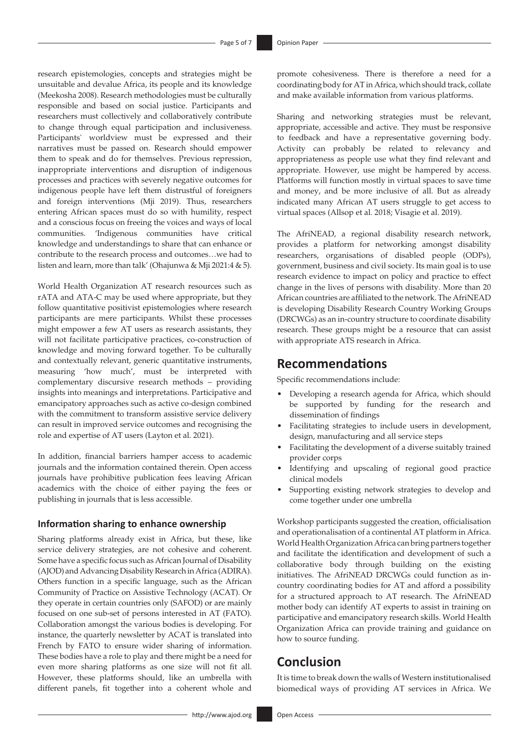research epistemologies, concepts and strategies might be unsuitable and devalue Africa, its people and its knowledge (Meekosha 2008). Research methodologies must be culturally responsible and based on social justice. Participants and researchers must collectively and collaboratively contribute to change through equal participation and inclusiveness. Participants` worldview must be expressed and their narratives must be passed on. Research should empower them to speak and do for themselves. Previous repression, inappropriate interventions and disruption of indigenous processes and practices with severely negative outcomes for indigenous people have left them distrustful of foreigners and foreign interventions (Mji 2019). Thus, researchers entering African spaces must do so with humility, respect and a conscious focus on freeing the voices and ways of local communities. 'Indigenous communities have critical knowledge and understandings to share that can enhance or contribute to the research process and outcomes…we had to listen and learn, more than talk' (Ohajunwa & Mji 2021:4 & 5).

World Health Organization AT research resources such as rATA and ATA-C may be used where appropriate, but they follow quantitative positivist epistemologies where research participants are mere participants. Whilst these processes might empower a few AT users as research assistants, they will not facilitate participative practices, co-construction of knowledge and moving forward together. To be culturally and contextually relevant, generic quantitative instruments, measuring 'how much', must be interpreted with complementary discursive research methods – providing insights into meanings and interpretations. Participative and emancipatory approaches such as active co-design combined with the commitment to transform assistive service delivery can result in improved service outcomes and recognising the role and expertise of AT users (Layton et al. 2021).

In addition, financial barriers hamper access to academic journals and the information contained therein. Open access journals have prohibitive publication fees leaving African academics with the choice of either paying the fees or publishing in journals that is less accessible.

### **Information sharing to enhance ownership**

Sharing platforms already exist in Africa, but these, like service delivery strategies, are not cohesive and coherent. Some have a specific focus such as African Journal of Disability (AJOD) and Advancing Disability Research in Africa (ADIRA). Others function in a specific language, such as the African Community of Practice on Assistive Technology (ACAT). Or they operate in certain countries only (SAFOD) or are mainly focused on one sub-set of persons interested in AT (FATO). Collaboration amongst the various bodies is developing. For instance, the quarterly newsletter by ACAT is translated into French by FATO to ensure wider sharing of information. These bodies have a role to play and there might be a need for even more sharing platforms as one size will not fit all. However, these platforms should, like an umbrella with different panels, fit together into a coherent whole and

promote cohesiveness. There is therefore a need for a coordinating body for AT in Africa, which should track, collate and make available information from various platforms.

Sharing and networking strategies must be relevant, appropriate, accessible and active. They must be responsive to feedback and have a representative governing body. Activity can probably be related to relevancy and appropriateness as people use what they find relevant and appropriate. However, use might be hampered by access. Platforms will function mostly in virtual spaces to save time and money, and be more inclusive of all. But as already indicated many African AT users struggle to get access to virtual spaces (Allsop et al. 2018; Visagie et al. 2019).

The AfriNEAD, a regional disability research network, provides a platform for networking amongst disability researchers, organisations of disabled people (ODPs), government, business and civil society. Its main goal is to use research evidence to impact on policy and practice to effect change in the lives of persons with disability. More than 20 African countries are affiliated to the network. The AfriNEAD is developing Disability Research Country Working Groups (DRCWGs) as an in-country structure to coordinate disability research. These groups might be a resource that can assist with appropriate ATS research in Africa.

# **Recommendations**

Specific recommendations include:

- Developing a research agenda for Africa, which should be supported by funding for the research and dissemination of findings
- Facilitating strategies to include users in development, design, manufacturing and all service steps
- Facilitating the development of a diverse suitably trained provider corps
- Identifying and upscaling of regional good practice clinical models
- Supporting existing network strategies to develop and come together under one umbrella

Workshop participants suggested the creation, officialisation and operationalisation of a continental AT platform in Africa. World Health Organization Africa can bring partners together and facilitate the identification and development of such a collaborative body through building on the existing initiatives. The AfriNEAD DRCWGs could function as incountry coordinating bodies for AT and afford a possibility for a structured approach to AT research. The AfriNEAD mother body can identify AT experts to assist in training on participative and emancipatory research skills. World Health Organization Africa can provide training and guidance on how to source funding.

# **Conclusion**

It is time to break down the walls of Western institutionalised biomedical ways of providing AT services in Africa. We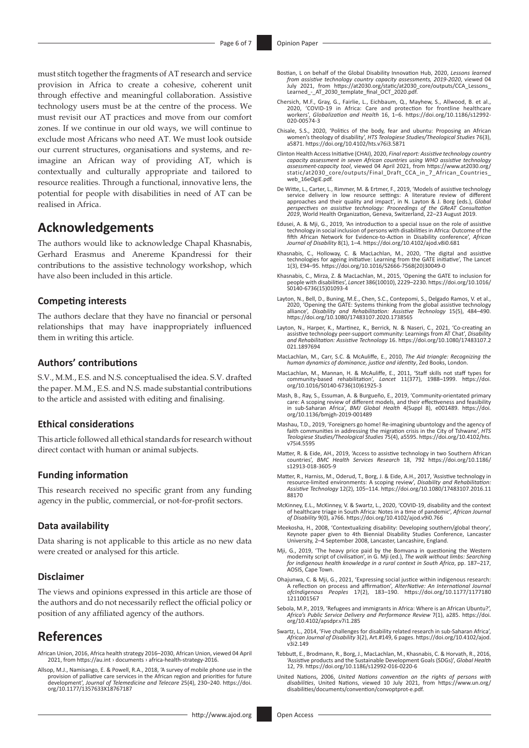must stitch together the fragments of AT research and service provision in Africa to create a cohesive, coherent unit through effective and meaningful collaboration. Assistive technology users must be at the centre of the process. We must revisit our AT practices and move from our comfort zones. If we continue in our old ways, we will continue to exclude most Africans who need AT. We must look outside our current structures, organisations and systems, and reimagine an African way of providing AT, which is contextually and culturally appropriate and tailored to resource realities. Through a functional, innovative lens, the potential for people with disabilities in need of AT can be realised in Africa.

# **Acknowledgements**

The authors would like to acknowledge Chapal Khasnabis, Gerhard Erasmus and Anereme Kpandressi for their contributions to the assistive technology workshop, which have also been included in this article.

#### **Competing interests**

The authors declare that they have no financial or personal relationships that may have inappropriately influenced them in writing this article.

#### **Authors' contributions**

S.V., M.M., E.S. and N.S. conceptualised the idea. S.V. drafted the paper. M.M., E.S. and N.S. made substantial contributions to the article and assisted with editing and finalising.

## **Ethical considerations**

This article followed all ethical standards for research without direct contact with human or animal subjects.

### **Funding information**

This research received no specific grant from any funding agency in the public, commercial, or not-for-profit sectors.

### **Data availability**

Data sharing is not applicable to this article as no new data were created or analysed for this article.

### **Disclaimer**

The views and opinions expressed in this article are those of the authors and do not necessarily reflect the official policy or position of any affiliated agency of the authors.

# **References**

- African Union, 2016, Africa health strategy 2016–2030, African Union, viewed 04 April 2021, from [https://au.int › documents › africa-health-strategy-2016.](https://au.int › documents › africa-health-strategy-2016)
- Allsop, M.J., Namisango, E. & Powell, R.A., 2018, 'A survey of mobile phone use in the provision of palliative care services in the African region and priorities for future development', *Journal of Telemedicine and Telecare* 25(4), 230–240. [https://doi.](https://doi.org/10.1177/1357633X18767187) [org/10.1177/1357633X18767187](https://doi.org/10.1177/1357633X18767187)
- Bostian, L on behalf of the Global Disability Innovation Hub, 2020, *Lessons learned from assistive technology country capacity assessments, 2019-2020,* viewed 04<br>July 2021, from [https://at2030.org/static/at2030\\_core/outputs/CCA\\_Lessons\\_](https://at2030.org/static/at2030_core/outputs/CCA_Lessons_Learned_-_AT_2030_template_final_OCT_2020.pdf)<br>[Learned\\_-\\_AT\\_2030\\_template\\_final\\_OCT\\_2020.pdf.](https://at2030.org/static/at2030_core/outputs/CCA_Lessons_Learned_-_AT_2030_template_final_OCT_2020.pdf)
- Chersich, M.F., Gray, G., Fairlie, L., Eichbaum, Q., Mayhew, S., Allwood, B. et al., 2020, 'COVID-19 in Africa: Care and protection for frontline healthcare workers', *Globalization and Health* 16, 1–6. [https://doi.org/10.1186/s12992-](https://doi.org/10.1186/s12992-020-00574-3) [020-00574-3](https://doi.org/10.1186/s12992-020-00574-3)
- Chisale, S.S., 2020, 'Politics of the body, fear and ubuntu: Proposing an African women's theology of disability', *HTS Teologiese Studies/Theological Studies* 76(3), a5871.<https://doi.org/10.4102/hts.v76i3.5871>
- Clinton Health Access Initiative (CHAI), 2020, *Final report: Assistive technology country capacity assessment in seven African countries using WHO assistive technology assessment-capacity tool*, viewed 04 April 2021, from [https://www.at2030.org/](https://www.at2030.org/static/at2030_core/outputs/Final_Draft_CCA_in_7_African_Countries_web_16eOgiE.pdf) [static/at2030\\_core/outputs/Final\\_Draft\\_CCA\\_in\\_7\\_African\\_Countries\\_](https://www.at2030.org/static/at2030_core/outputs/Final_Draft_CCA_in_7_African_Countries_web_16eOgiE.pdf) [web\\_16eOgiE.pdf](https://www.at2030.org/static/at2030_core/outputs/Final_Draft_CCA_in_7_African_Countries_web_16eOgiE.pdf).
- De Witte, L., Carter, L., Rimmer, M. & Ertmer, F., 2019, 'Models of assistive technology<br>service delivery in low resource settings: A literature review of different<br>approaches and their quality and impact', in N. Layton & *2019*, World Health Organization, Geneva, Switzerland, 22–23 August 2019.
- Edusei, A. & Mji, G., 2019, 'An introduction to a special issue on the role of assistive technology in social inclusion of persons with disabilities in Africa: Outcome of the fifth African Network for Evidence-to-Action in Disability conference', *African Journal of Disability* 8(1), 1–4. <https://doi.org/10.4102/ajod.v8i0.681>
- Khasnabis, C., Holloway, C. & MacLachlan, M., 2020, 'The digital and assistive technologies for ageing initiative: Learning from the GATE initiative', The Lancet 1(3), E94–95. [https://doi.org/10.1016/S2666-7568\(20\)30049-0](https://doi.org/10.1016/S2666-7568(20)30049-0)
- Khasnabis, C., Mirza, Z. & MacLachlan, M., 2015, 'Opening the GATE to inclusion for people with disabilities', *Lancet* 386(10010), 2229–2230. [https://doi.org/10.1016/](https://doi.org/10.1016/S0140-6736(15)01093-4) [S0140-6736\(15\)01093-4](https://doi.org/10.1016/S0140-6736(15)01093-4)
- Layton, N., Bell, D., Buning, M.E., Chen, S.C., Contepomi, S., Delgado Ramos, V. et al., 2020, 'Opening the GATE: Systems thinking from the global assistive technology alliance', *Disability and Rehabilitation: Assistive Technology* 15(5), 484–490. <https://doi.org/10.1080/17483107.2020.1738565>
- Layton, N., Harper, K., Martinez, K., Berrick, N. & Naseri, C., 2021, 'Co-creating an assistive technology peer-support community: Learnings from AT Chat', *Disability and Rehabilitation: Assistive Technology* 16. [https://doi.org/10.1080/17483107.2](https://doi.org/10.1080/17483107.2021.1897694) [021.1897694](https://doi.org/10.1080/17483107.2021.1897694)
- MacLachlan, M., Carr, S.C. & McAuliffe, E., 2010, *The Aid triangle: Recognizing the human dynamics of dominance, justice and identity*, Zed Books, London.
- MacLachlan, M., Mannan, H. & McAuliffe, E., 2011, 'Staff skills not staff types for community-based rehabilitation', *Lancet* 11(377), 1988–1999. [https://doi.](https://doi.org/10.1016/S0140-6736(10)61925-3) [org/10.1016/S0140-6736\(10\)61925-3](https://doi.org/10.1016/S0140-6736(10)61925-3)
- Mash, B., Ray, S., Essuman, A. & Burgueño, E., 2019, 'Community-orientated primary care: A scoping review of different models, and their effectiveness and feasibility in sub-Saharan Africa', *BMJ Global Health* 4(Suppl 8), e001489. [https://doi.](https://doi.org/10.1136/bmjgh-2019-001489) [org/10.1136/bmjgh-2019-001489](https://doi.org/10.1136/bmjgh-2019-001489)
- Mashau, T.D., 2019, 'Foreigners go home! Re-imagining ubuntology and the agency of faith communities in addressing the migration crisis in the City of Tshwane', *HTS Teologiese Studies/Theological Studies* 75(4), a5595. [https://doi.org/10.4102/hts.](https://doi.org/10.4102/hts.v75i4.5595) [v75i4.5595](https://doi.org/10.4102/hts.v75i4.5595)
- Matter, R. & Eide, AH., 2019, 'Access to assistive technology in two Southern African countries', *BMC Health Services Research* 18, 792 [https://doi.org/10.1186/](https://doi.org/10.1186/s12913-018-3605-9) [s12913-018-3605-9](https://doi.org/10.1186/s12913-018-3605-9)
- Matter, R., Harniss, M., Oderud, T., Borg, J. & Eide, A.H., 2017, 'Assistive technology in resource-limited environments: A scoping review', *Disability and Rehabilitation: Assistive Technology* 12(2), 105–114. [https://doi.org/10.1080/17483107.2016.11](https://doi.org/10.1080/17483107.2016.1188170) [88170](https://doi.org/10.1080/17483107.2016.1188170)
- McKinney, E.L., McKinney, V. & Swartz, L., 2020, 'COVID-19, disability and the context of healthcare triage in South Africa: Notes in a time of pandemic', *African Journal of Disability* 9(0), a766.<https://doi.org/10.4102/ajod.v9i0.766>
- Meekosha, H., 2008, 'Contextualizing disability: Developing southern/global theory', Keynote paper given to 4th Biennial Disability Studies Conference, Lancaster University, 2–4 September 2008, Lancaster, Lancashire, England.
- Mji, G., 2019, 'The heavy price paid by the Bomvana in questioning the Western modernity script of civilisation', in G. Mji (ed.), *The walk without limbs: Searching for indigenous health knowledge in a rural context in South Africa*, pp. 187–217, AOSIS, Cape Town.
- Ohajunwa, C. & Mji, G., 2021, 'Expressing social justice within indigenous research: A reflection on process and affirmation', *AlterNative: An International Journal ofcIndigenous Peoples* 17(2), 183–190. [https://doi.org/10.1177/1177180](https://doi.org/10.1177/​1177180​1211001567) [1211001567](https://doi.org/10.1177/​1177180​1211001567)
- Sebola, M.P., 2019, 'Refugees and immigrants in Africa: Where is an African Ubuntu?', *Africa's Public Service Delivery and Performance Review* 7(1), a285. [https://doi.](https://doi.org/10.4102/apsdpr.v7i1.285) [org/10.4102/apsdpr.v7i1.285](https://doi.org/10.4102/apsdpr.v7i1.285)
- Swartz, L., 2014, 'Five challenges for disability related research in sub-Saharan Africa', *African Journal of Disability* 3(2), Art.#149, 6 pages. [https://doi.org/10.4102/ajod.](https://doi.org/10.4102/ajod.v3i2.149) [v3i2.149](https://doi.org/10.4102/ajod.v3i2.149)
- Tebbutt, E., Brodmann, R., Borg, J., MacLachlan, M., Khasnabis, C. & Horvath, R., 2016, 'Assistive products and the Sustainable Development Goals (SDGs)', *Global Health* 12, 79.<https://doi.org/10.1186/s12992-016-0220-6>
- United Nations, 2006, *United Nations convention on the rights of persons with disabilities*, United Nations, viewed 10 July 2021, from [https://www.un.org/](https://www.un.org/disabilities/documents/convention/convoptprot-e.pdf) [disabilities/documents/convention/convoptprot-e.pdf.](https://www.un.org/disabilities/documents/convention/convoptprot-e.pdf)